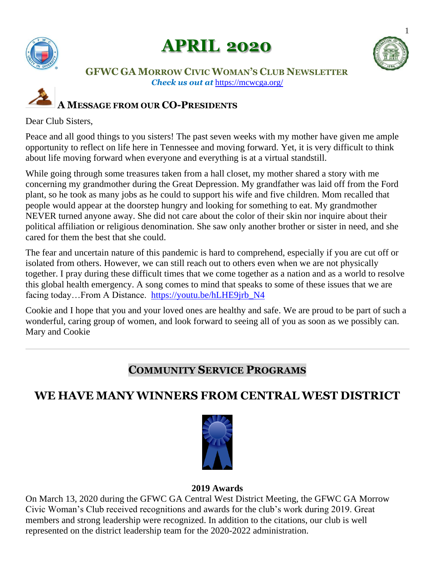

# **APRIL 2020**



### **GFWC GA MORROW CIVIC WOMAN'S CLUB NEWSLETTER** *Check us out at* <https://mcwcga.org/>

# **A MESSAGE FROM OUR CO-PRESIDENTS**

### Dear Club Sisters,

Peace and all good things to you sisters! The past seven weeks with my mother have given me ample opportunity to reflect on life here in Tennessee and moving forward. Yet, it is very difficult to think about life moving forward when everyone and everything is at a virtual standstill.

While going through some treasures taken from a hall closet, my mother shared a story with me concerning my grandmother during the Great Depression. My grandfather was laid off from the Ford plant, so he took as many jobs as he could to support his wife and five children. Mom recalled that people would appear at the doorstep hungry and looking for something to eat. My grandmother NEVER turned anyone away. She did not care about the color of their skin nor inquire about their political affiliation or religious denomination. She saw only another brother or sister in need, and she cared for them the best that she could.

The fear and uncertain nature of this pandemic is hard to comprehend, especially if you are cut off or isolated from others. However, we can still reach out to others even when we are not physically together. I pray during these difficult times that we come together as a nation and as a world to resolve this global health emergency. A song comes to mind that speaks to some of these issues that we are facing today…From A Distance. [https://youtu.be/hLHE9jrb\\_N4](https://youtu.be/hLHE9jrb_N4)

Cookie and I hope that you and your loved ones are healthy and safe. We are proud to be part of such a wonderful, caring group of women, and look forward to seeing all of you as soon as we possibly can. Mary and Cookie

## **COMMUNITY SERVICE PROGRAMS**

## **WE HAVE MANY WINNERS FROM CENTRAL WEST DISTRICT**



### **2019 Awards**

On March 13, 2020 during the GFWC GA Central West District Meeting, the GFWC GA Morrow Civic Woman's Club received recognitions and awards for the club's work during 2019. Great members and strong leadership were recognized. In addition to the citations, our club is well represented on the district leadership team for the 2020-2022 administration.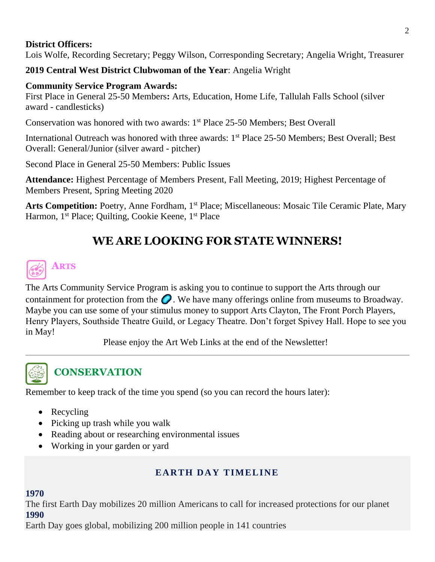### **District Officers:**

Lois Wolfe, Recording Secretary; Peggy Wilson, Corresponding Secretary; Angelia Wright, Treasurer

**2019 Central West District Clubwoman of the Year**: Angelia Wright

### **Community Service Program Awards:**

First Place in General 25-50 Members**:** Arts, Education, Home Life, Tallulah Falls School (silver award - candlesticks)

Conservation was honored with two awards: 1<sup>st</sup> Place 25-50 Members; Best Overall

International Outreach was honored with three awards: 1<sup>st</sup> Place 25-50 Members; Best Overall; Best Overall: General/Junior (silver award - pitcher)

Second Place in General 25-50 Members: Public Issues

**Attendance:** Highest Percentage of Members Present, Fall Meeting, 2019; Highest Percentage of Members Present, Spring Meeting 2020

Arts Competition: Poetry, Anne Fordham, 1<sup>st</sup> Place; Miscellaneous: Mosaic Tile Ceramic Plate, Mary Harmon, 1<sup>st</sup> Place; Quilting, Cookie Keene, 1<sup>st</sup> Place

# **WE ARE LOOKING FOR STATE WINNERS!**

# **ARTS**

The Arts Community Service Program is asking you to continue to support the Arts through our containment for protection from the  $\bigcirc$ . We have many offerings online from museums to Broadway. Maybe you can use some of your stimulus money to support Arts Clayton, The Front Porch Players, Henry Players, Southside Theatre Guild, or Legacy Theatre. Don't forget Spivey Hall. Hope to see you in May!

Please enjoy the Art Web Links at the end of the Newsletter!



# **CONSERVATION**

Remember to keep track of the time you spend (so you can record the hours later):

- Recycling
- Picking up trash while you walk
- Reading about or researching environmental issues
- Working in your garden or yard

## **EARTH DAY TIMELINE**

### **1970**

The first Earth Day mobilizes 20 million Americans to call for increased protections for our planet **1990**

Earth Day goes global, mobilizing 200 million people in 141 countries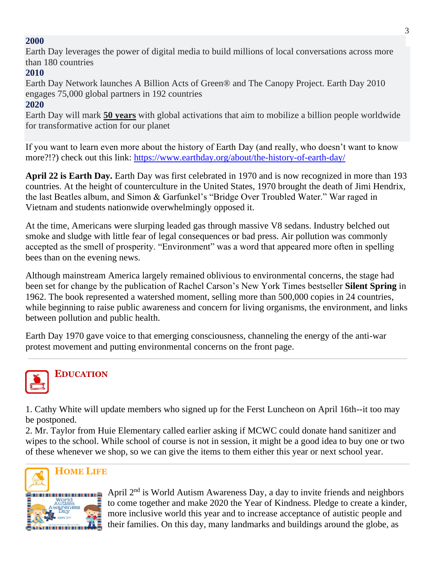### **2000**

Earth Day leverages the power of digital media to build millions of local conversations across more than 180 countries

### **2010**

Earth Day Network launches A Billion Acts of Green® and The Canopy Project. Earth Day 2010 engages 75,000 global partners in 192 countries

### **2020**

Earth Day will mark **50 years** with global activations that aim to mobilize a billion people worldwide for transformative action for our planet

If you want to learn even more about the history of Earth Day (and really, who doesn't want to know more?!?) check out this link:<https://www.earthday.org/about/the-history-of-earth-day/>

**April 22 is Earth Day.** Earth Day was first celebrated in 1970 and is now recognized in more than 193 countries. At the height of counterculture in the United States, 1970 brought the death of Jimi Hendrix, the last Beatles album, and Simon & Garfunkel's "Bridge Over Troubled Water." War raged in Vietnam and students nationwide overwhelmingly opposed it.

At the time, Americans were slurping leaded gas through massive V8 sedans. Industry belched out smoke and sludge with little fear of legal consequences or bad press. Air pollution was commonly accepted as the smell of prosperity. "Environment" was a word that appeared more often in spelling bees than on the evening news.

Although mainstream America largely remained oblivious to environmental concerns, the stage had been set for change by the publication of Rachel Carson's New York Times bestseller **Silent Spring** in 1962. The book represented a watershed moment, selling more than 500,000 copies in 24 countries, while beginning to raise public awareness and concern for living organisms, the environment, and links between pollution and public health.

Earth Day 1970 gave voice to that emerging consciousness, channeling the energy of the anti-war protest movement and putting environmental concerns on the front page.



# **EDUCATION**

1. Cathy White will update members who signed up for the Ferst Luncheon on April 16th--it too may be postponed.

2. Mr. Taylor from Huie Elementary called earlier asking if MCWC could donate hand sanitizer and wipes to the school. While school of course is not in session, it might be a good idea to buy one or two of these whenever we shop, so we can give the items to them either this year or next school year.



April 2nd is World Autism Awareness Day, a day to invite friends and neighbors to come together and make 2020 the Year of Kindness. Pledge to create a kinder, more inclusive world this year and to increase acceptance of autistic people and their families. On this day, many landmarks and buildings around the globe, as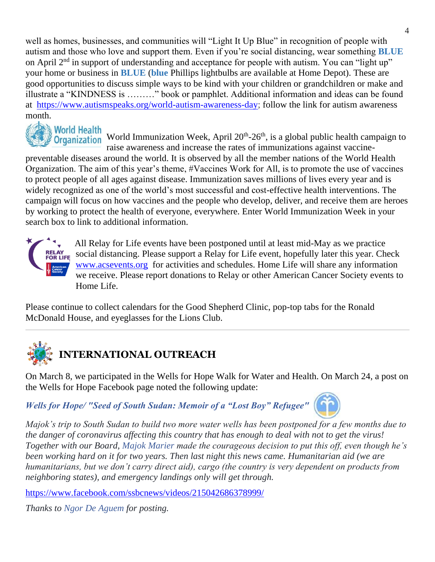well as homes, businesses, and communities will "Light It Up Blue" in recognition of people with autism and those who love and support them. Even if you're social distancing, wear something **BLUE**  on April  $2<sup>nd</sup>$  in support of understanding and acceptance for people with autism. You can "light up" your home or business in **BLUE** (**blue** Phillips lightbulbs are available at Home Depot). These are good opportunities to discuss simple ways to be kind with your children or grandchildren or make and illustrate a "KINDNESS is ………" book or pamphlet. Additional information and ideas can be found at [https://www.autismspeaks.org/world-autism-awareness-day;](https://www.autismspeaks.org/world-autism-awareness-day) follow the link for autism awareness month.



World Immunization Week, April  $20<sup>th</sup> - 26<sup>th</sup>$ , is a global public health campaign to raise awareness and increase the rates of immunizations against vaccine-

preventable diseases around the world. It is observed by all the member nations of the World Health Organization. The aim of this year's theme, #Vaccines Work for All, is to promote the use of vaccines to protect people of all ages against disease. Immunization saves millions of lives every year and is widely recognized as one of the world's most successful and cost-effective health interventions. The campaign will focus on how vaccines and the people who develop, deliver, and receive them are heroes by working to protect the health of everyone, everywhere. Enter World Immunization Week in your search box to link to additional information.



 All Relay for Life events have been postponed until at least mid-May as we practice social distancing. Please support a Relay for Life event, hopefully later this year. Check [www.acsevents.org](http://www.acsevents.org/) for activities and schedules. Home Life will share any information we receive. Please report donations to Relay or other American Cancer Society events to Home Life.

Please continue to collect calendars for the Good Shepherd Clinic, pop-top tabs for the Ronald McDonald House, and eyeglasses for the Lions Club.



# **INTERNATIONAL OUTREACH**

On March 8, we participated in the Wells for Hope Walk for Water and Health. On March 24, a post on the Wells for Hope Facebook page noted the following update:

*[Wells for Hope/ "Seed of South Sudan: Memoir of a "Lost Boy" Refugee"](https://www.facebook.com/seedofsouthsudan/?__tn__=kC-R&eid=ARAfWFQWRXMCFrTTl7Ot21s9qogzER-aIck1F6BF_xqfpy109DUPwhOGLzrkWUBY0oDWA_vi7uY0k1IP&hc_ref=ARRrM1gyklVcsQYJTFIy7hwZzVWdD-SSSbIZURC1ZBQg8hvLYUPBvxpJCY5xOBPAN5U&ref=nf_target&__xts__%5B0%5D=68.ARBVVnC57kXopHReU9oCRole_Sf2jSOJ6fMSo9LLgrv0bvArLJMEWG7UK83uzgFOmZjDNXSz6iqAdCc-wsncMnhGnRbnooF1HD6d17m5QnSZcv5xPXwMOeit60CEkx-59Oo8_KBMeqW8-y8B34hd4UEkE6P1FosNz51yDJ9wX8kygANiajY_0z3PugImKHlyHEOu9C8QpSA_rCbT0YwptaD1kH0F7uDhCK5yVWILzRa_Krht7DwiVGHwl4msrY5hmbr2RRZ8yzGBTspgZB8oLr1NHELbBuE4VQ9xUlKvk13_bqxKcv4Yhc7LRi6XdD2ooaDNsPp1gMpwHPbD1pGrr7ZYeiSTMBw3pEtSdSlRVs65kEJof7dAmEMCgo0cnvp2iyOitNmtHM8a5kvzjrunuKfbB9eR1M5uOCUAe26aGJDvGW-ZMTvp5dQexLZn0CmOmT1zc2APFCBbdbR6_gKQB3lYVgE79Ex2OlR-K1SkaQZYB7Zawreky3S5ziWmE2uMANyi)* 



*Majok's trip to South Sudan to build two more water wells has been postponed for a few months due to the danger of coronavirus affecting this country that has enough to deal with not to get the virus! Together with our Board, [Majok Marier](https://www.facebook.com/majok.marier?__tn__=K-R&eid=ARDL-9NdfhvStA1EuLEXeRSvT2KbRVHP40xCe7Lf2rWlY4nSrfMIP7ZG0yg30wy5zvt3OXjB8YuN4WsV&fref=mentions&__xts__%5B0%5D=68.ARBVVnC57kXopHReU9oCRole_Sf2jSOJ6fMSo9LLgrv0bvArLJMEWG7UK83uzgFOmZjDNXSz6iqAdCc-wsncMnhGnRbnooF1HD6d17m5QnSZcv5xPXwMOeit60CEkx-59Oo8_KBMeqW8-y8B34hd4UEkE6P1FosNz51yDJ9wX8kygANiajY_0z3PugImKHlyHEOu9C8QpSA_rCbT0YwptaD1kH0F7uDhCK5yVWILzRa_Krht7DwiVGHwl4msrY5hmbr2RRZ8yzGBTspgZB8oLr1NHELbBuE4VQ9xUlKvk13_bqxKcv4Yhc7LRi6XdD2ooaDNsPp1gMpwHPbD1pGrr7ZYeiSTMBw3pEtSdSlRVs65kEJof7dAmEMCgo0cnvp2iyOitNmtHM8a5kvzjrunuKfbB9eR1M5uOCUAe26aGJDvGW-ZMTvp5dQexLZn0CmOmT1zc2APFCBbdbR6_gKQB3lYVgE79Ex2OlR-K1SkaQZYB7Zawreky3S5ziWmE2uMANyi) made the courageous decision to put this off, even though he's been working hard on it for two years. Then last night this news came. Humanitarian aid (we are humanitarians, but we don't carry direct aid), cargo (the country is very dependent on products from neighboring states), and emergency landings only will get through.* 

<https://www.facebook.com/ssbcnews/videos/215042686378999/>

*Thanks to [Ngor De Aguem](https://www.facebook.com/NgorDeAguem?__tn__=K-R&eid=ARCM8XHTzrAs1iF_R4eeJjGlCeoK6BBuh3hNo85o_OD2EXw-Z8nHM7v7SemhoVCgQpuOyGg9vtthD2YB&fref=mentions&__xts__%5B0%5D=68.ARBVVnC57kXopHReU9oCRole_Sf2jSOJ6fMSo9LLgrv0bvArLJMEWG7UK83uzgFOmZjDNXSz6iqAdCc-wsncMnhGnRbnooF1HD6d17m5QnSZcv5xPXwMOeit60CEkx-59Oo8_KBMeqW8-y8B34hd4UEkE6P1FosNz51yDJ9wX8kygANiajY_0z3PugImKHlyHEOu9C8QpSA_rCbT0YwptaD1kH0F7uDhCK5yVWILzRa_Krht7DwiVGHwl4msrY5hmbr2RRZ8yzGBTspgZB8oLr1NHELbBuE4VQ9xUlKvk13_bqxKcv4Yhc7LRi6XdD2ooaDNsPp1gMpwHPbD1pGrr7ZYeiSTMBw3pEtSdSlRVs65kEJof7dAmEMCgo0cnvp2iyOitNmtHM8a5kvzjrunuKfbB9eR1M5uOCUAe26aGJDvGW-ZMTvp5dQexLZn0CmOmT1zc2APFCBbdbR6_gKQB3lYVgE79Ex2OlR-K1SkaQZYB7Zawreky3S5ziWmE2uMANyi) for posting.*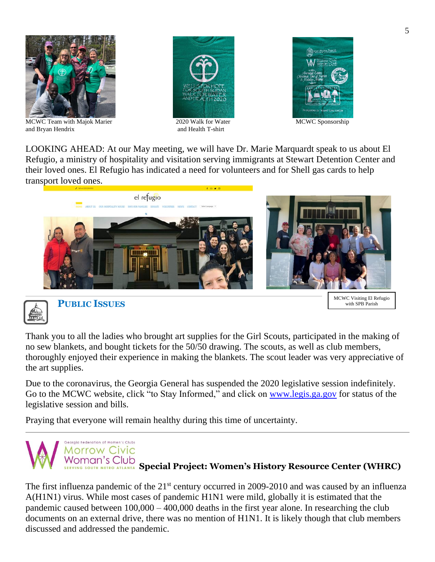

MCWC Team with Majok Marier 2020 Walk for Water MCWC Sponsorship and Bryan Hendrix and Health T-shirt





LOOKING AHEAD: At our May meeting, we will have Dr. Marie Marquardt speak to us about El Refugio, a ministry of hospitality and visitation serving immigrants at Stewart Detention Center and their loved ones. El Refugio has indicated a need for volunteers and for Shell gas cards to help transport loved ones.





 **PUBLIC ISSUES**

MCWC Visiting El Refugio with SPB Parish

Thank you to all the ladies who brought art supplies for the Girl Scouts, participated in the making of no sew blankets, and bought tickets for the 50/50 drawing. The scouts, as well as club members, thoroughly enjoyed their experience in making the blankets. The scout leader was very appreciative of the art supplies.

Due to the coronavirus, the Georgia General has suspended the 2020 legislative session indefinitely. Go to the MCWC website, click "to Stay Informed," and click on [www.legis.ga.gov](http://www.legis.ga.gov/) for status of the legislative session and bills.

Praying that everyone will remain healthy during this time of uncertainty.



The first influenza pandemic of the 21<sup>st</sup> century occurred in 2009-2010 and was caused by an influenza A(H1N1) virus. While most cases of pandemic H1N1 were mild, globally it is estimated that the pandemic caused between 100,000 – 400,000 deaths in the first year alone. In researching the club documents on an external drive, there was no mention of H1N1. It is likely though that club members discussed and addressed the pandemic.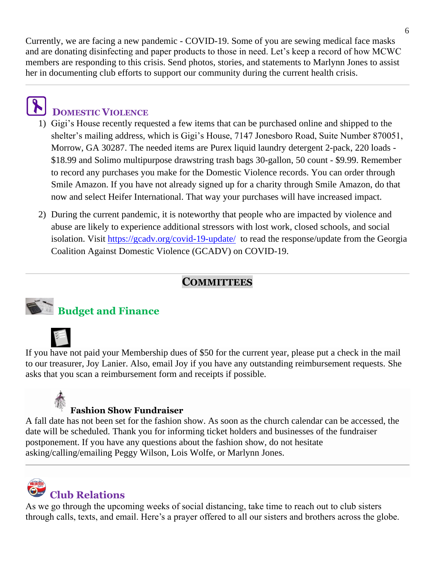Currently, we are facing a new pandemic - COVID-19. Some of you are sewing medical face masks and are donating disinfecting and paper products to those in need. Let's keep a record of how MCWC members are responding to this crisis. Send photos, stories, and statements to Marlynn Jones to assist her in documenting club efforts to support our community during the current health crisis.

# **DOMESTIC VIOLENCE**

- 1) Gigi's House recently requested a few items that can be purchased online and shipped to the shelter's mailing address, which is Gigi's House, 7147 Jonesboro Road, Suite Number 870051, Morrow, GA 30287. The needed items are Purex liquid laundry detergent 2-pack, 220 loads - \$18.99 and Solimo multipurpose drawstring trash bags 30-gallon, 50 count - \$9.99. Remember to record any purchases you make for the Domestic Violence records. You can order through Smile Amazon. If you have not already signed up for a charity through Smile Amazon, do that now and select Heifer International. That way your purchases will have increased impact.
- 2) During the current pandemic, it is noteworthy that people who are impacted by violence and abuse are likely to experience additional stressors with lost work, closed schools, and social isolation. Visit<https://gcadv.org/covid-19-update/>to read the response/update from the Georgia Coalition Against Domestic Violence (GCADV) on COVID-19.

## **COMMITTEES**



# **Budget and Finance**

If you have not paid your Membership dues of \$50 for the current year, please put a check in the mail to our treasurer, Joy Lanier. Also, email Joy if you have any outstanding reimbursement requests. She asks that you scan a reimbursement form and receipts if possible.

## **Fashion Show Fundraiser**

A fall date has not been set for the fashion show. As soon as the church calendar can be accessed, the date will be scheduled. Thank you for informing ticket holders and businesses of the fundraiser postponement. If you have any questions about the fashion show, do not hesitate asking/calling/emailing Peggy Wilson, Lois Wolfe, or Marlynn Jones.

# **Club Relations**

As we go through the upcoming weeks of social distancing, take time to reach out to club sisters through calls, texts, and email. Here's a prayer offered to all our sisters and brothers across the globe.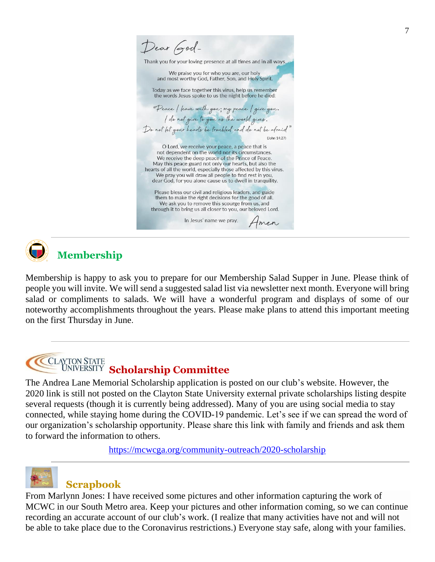Dear God-Thank you for your loving presence at all times and in all ways. We praise you for who you are, our holy and most worthy God, Father, Son, and Holy Spirit. Today as we face together this virus, help us remember the words Jesus spoke to us the night before he died: "Peace ( leave with you ; my peace ( give you . I do not give to you as the world gives. Do not let your hearts be troubled and do not be afraid (John 14:27) O Lord, we receive your peace, a peace that is not dependent on the world nor its circumstances. We receive the deep peace of the Prince of Peace. May this peace guard not only our hearts, but also the hearts of all the world, especially those affected by this virus. We pray you will draw all people to find rest in you, dear God, for you alone cause us to dwell in tranquility. Please bless our civil and religious leaders, and guide them to make the right decisions for the good of all. We ask you to remove this scourge from us, and through it to bring us all closer to you, our beloved Lord. In Jesus' name we pray. Amen



# **Membership**

Membership is happy to ask you to prepare for our Membership Salad Supper in June. Please think of people you will invite. We will send a suggested salad list via newsletter next month. Everyone will bring salad or compliments to salads. We will have a wonderful program and displays of some of our noteworthy accomplishments throughout the years. Please make plans to attend this important meeting on the first Thursday in June.

### **CLAYTON STATE** UNIVERSITY Scholarship Committee

The Andrea Lane Memorial Scholarship application is posted on our club's website. However, the 2020 link is still not posted on the Clayton State University external private scholarships listing despite several requests (though it is currently being addressed). Many of you are using social media to stay connected, while staying home during the COVID-19 pandemic. Let's see if we can spread the word of our organization's scholarship opportunity. Please share this link with family and friends and ask them to forward the information to others.

<https://mcwcga.org/community-outreach/2020-scholarship>



# **Scrapbook**

From Marlynn Jones: I have received some pictures and other information capturing the work of MCWC in our South Metro area. Keep your pictures and other information coming, so we can continue recording an accurate account of our club's work. (I realize that many activities have not and will not be able to take place due to the Coronavirus restrictions.) Everyone stay safe, along with your families.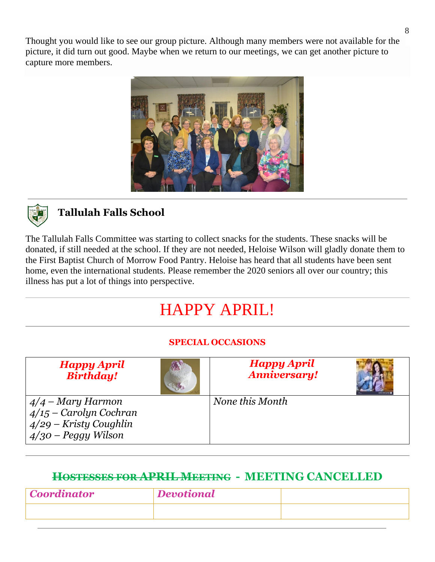Thought you would like to see our group picture. Although many members were not available for the picture, it did turn out good. Maybe when we return to our meetings, we can get another picture to capture more members.





## **Tallulah Falls School**

The Tallulah Falls Committee was starting to collect snacks for the students. These snacks will be donated, if still needed at the school. If they are not needed, Heloise Wilson will gladly donate them to the First Baptist Church of Morrow Food Pantry. Heloise has heard that all students have been sent home, even the international students. Please remember the 2020 seniors all over our country; this illness has put a lot of things into perspective.

# HAPPY APRIL!

### **SPECIAL OCCASIONS**

| <b>Happy April</b><br><b>Birthday!</b>                                                               | <b>Happy April</b><br><b>Anniversary!</b> |  |
|------------------------------------------------------------------------------------------------------|-------------------------------------------|--|
| $4/4$ – Mary Harmon<br>$4/15$ – Carolyn Cochran<br>$4/29$ – Kristy Coughlin<br>$4/30$ – Peggy Wilson | None this Month                           |  |

## **HOSTESSES FOR APRIL MEETING - MEETING CANCELLED**

| <i>Coordinator</i> | <b>Devotional</b> |  |
|--------------------|-------------------|--|
|                    |                   |  |